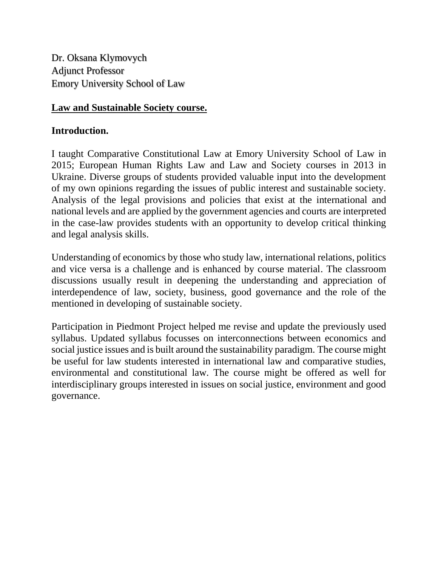Dr. Oksana Klymovych Adjunct Professor Emory University School of Law

#### **Law and Sustainable Society course.**

#### **Introduction.**

I taught Comparative Constitutional Law at Emory University School of Law in 2015; European Human Rights Law and Law and Society courses in 2013 in Ukraine. Diverse groups of students provided valuable input into the development of my own opinions regarding the issues of public interest and sustainable society. Analysis of the legal provisions and policies that exist at the international and national levels and are applied by the government agencies and courts are interpreted in the case-law provides students with an opportunity to develop critical thinking and legal analysis skills.

Understanding of economics by those who study law, international relations, politics and vice versa is a challenge and is enhanced by course material. The classroom discussions usually result in deepening the understanding and appreciation of interdependence of law, society, business, good governance and the role of the mentioned in developing of sustainable society.

Participation in Piedmont Project helped me revise and update the previously used syllabus. Updated syllabus focusses on interconnections between economics and social justice issues and is built around the sustainability paradigm. The course might be useful for law students interested in international law and comparative studies, environmental and constitutional law. The course might be offered as well for interdisciplinary groups interested in issues on social justice, environment and good governance.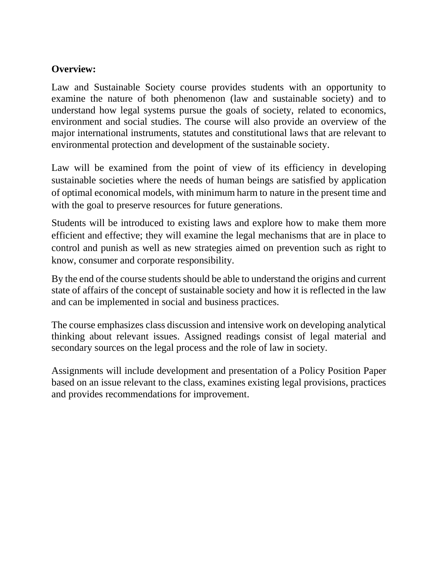### **Overview:**

Law and Sustainable Society course provides students with an opportunity to examine the nature of both phenomenon (law and sustainable society) and to understand how legal systems pursue the goals of society, related to economics, environment and social studies. The course will also provide an overview of the major international instruments, statutes and constitutional laws that are relevant to environmental protection and development of the sustainable society.

Law will be examined from the point of view of its efficiency in developing sustainable societies where the needs of human beings are satisfied by application of optimal economical models, with minimum harm to nature in the present time and with the goal to preserve resources for future generations.

Students will be introduced to existing laws and explore how to make them more efficient and effective; they will examine the legal mechanisms that are in place to control and punish as well as new strategies aimed on prevention such as right to know, consumer and corporate responsibility.

By the end of the course students should be able to understand the origins and current state of affairs of the concept of sustainable society and how it is reflected in the law and can be implemented in social and business practices.

The course emphasizes class discussion and intensive work on developing analytical thinking about relevant issues. Assigned readings consist of legal material and secondary sources on the legal process and the role of law in society.

Assignments will include development and presentation of a Policy Position Paper based on an issue relevant to the class, examines existing legal provisions, practices and provides recommendations for improvement.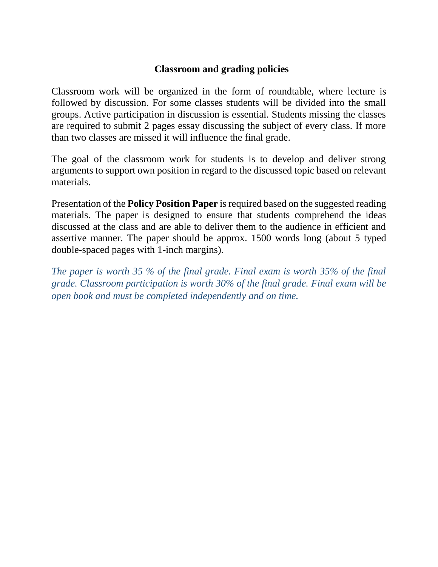### **Classroom and grading policies**

Classroom work will be organized in the form of roundtable, where lecture is followed by discussion. For some classes students will be divided into the small groups. Active participation in discussion is essential. Students missing the classes are required to submit 2 pages essay discussing the subject of every class. If more than two classes are missed it will influence the final grade.

The goal of the classroom work for students is to develop and deliver strong arguments to support own position in regard to the discussed topic based on relevant materials.

Presentation of the **Policy Position Paper** is required based on the suggested reading materials. The paper is designed to ensure that students comprehend the ideas discussed at the class and are able to deliver them to the audience in efficient and assertive manner. The paper should be approx. 1500 words long (about 5 typed double-spaced pages with 1-inch margins).

*The paper is worth 35 % of the final grade. Final exam is worth 35% of the final grade. Classroom participation is worth 30% of the final grade. Final exam will be open book and must be completed independently and on time.*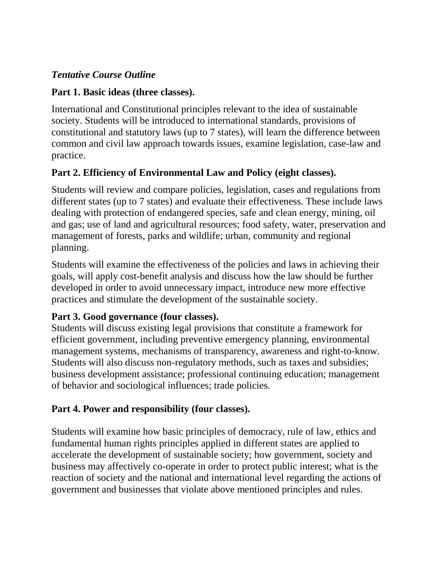## *Tentative Course Outline*

## **Part 1. Basic ideas (three classes).**

International and Constitutional principles relevant to the idea of sustainable society. Students will be introduced to international standards, provisions of constitutional and statutory laws (up to 7 states), will learn the difference between common and civil law approach towards issues, examine legislation, case-law and practice.

# **Part 2. Efficiency of Environmental Law and Policy (eight classes).**

Students will review and compare policies, legislation, cases and regulations from different states (up to 7 states) and evaluate their effectiveness. These include laws dealing with protection of endangered species, safe and clean energy, mining, oil and gas; use of land and agricultural resources; food safety, water, preservation and management of forests, parks and wildlife; urban, community and regional planning.

Students will examine the effectiveness of the policies and laws in achieving their goals, will apply cost-benefit analysis and discuss how the law should be further developed in order to avoid unnecessary impact, introduce new more effective practices and stimulate the development of the sustainable society.

# **Part 3. Good governance (four classes).**

Students will discuss existing legal provisions that constitute a framework for efficient government, including preventive emergency planning, environmental management systems, mechanisms of transparency, awareness and right-to-know. Students will also discuss non-regulatory methods, such as taxes and subsidies; business development assistance; professional continuing education; management of behavior and sociological influences; trade policies.

# **Part 4. Power and responsibility (four classes).**

Students will examine how basic principles of democracy, rule of law, ethics and fundamental human rights principles applied in different states are applied to accelerate the development of sustainable society; how government, society and business may affectively co-operate in order to protect public interest; what is the reaction of society and the national and international level regarding the actions of government and businesses that violate above mentioned principles and rules.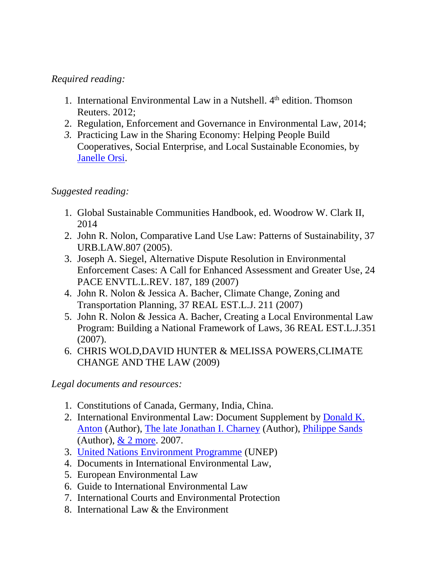### *Required reading:*

- 1. International Environmental Law in a Nutshell. 4<sup>th</sup> edition. Thomson Reuters. 2012;
- 2. Regulation, Enforcement and Governance in Environmental Law, 2014;
- *3.* Practicing Law in the Sharing Economy: Helping People Build Cooperatives, Social Enterprise, and Local Sustainable Economies, by [Janelle Orsi.](http://www.amazon.com/Janelle-Orsi/e/B001VWWPWC/ref=dp_byline_cont_ebooks_1)

### *Suggested reading:*

- 1. Global Sustainable Communities Handbook, ed. Woodrow W. Clark II, 2014
- 2. John R. Nolon, Comparative Land Use Law: Patterns of Sustainability, 37 URB.LAW.807 (2005).
- 3. Joseph A. Siegel, Alternative Dispute Resolution in Environmental Enforcement Cases: A Call for Enhanced Assessment and Greater Use, 24 PACE ENVTL.L.REV. 187, 189 (2007)
- 4. John R. Nolon & Jessica A. Bacher, Climate Change, Zoning and Transportation Planning, 37 REAL EST.L.J. 211 (2007)
- 5. John R. Nolon & Jessica A. Bacher, Creating a Local Environmental Law Program: Building a National Framework of Laws, 36 REAL EST.L.J.351 (2007).
- 6. CHRIS WOLD,DAVID HUNTER & MELISSA POWERS,CLIMATE CHANGE AND THE LAW (2009)

*Legal documents and resources:*

- 1. Constitutions of Canada, Germany, India, China.
- 2. International Environmental Law: Document Supplement by [Donald K.](http://www.amazon.com/s/ref=dp_byline_sr_book_1?ie=UTF8&field-author=Donald+K.+Anton&search-alias=books&text=Donald+K.+Anton&sort=relevancerank)  [Anton](http://www.amazon.com/s/ref=dp_byline_sr_book_1?ie=UTF8&field-author=Donald+K.+Anton&search-alias=books&text=Donald+K.+Anton&sort=relevancerank) (Author), [The late Jonathan I. Charney](http://www.amazon.com/s/ref=dp_byline_sr_book_2?ie=UTF8&field-author=The+late+Jonathan+I.+Charney&search-alias=books&text=The+late+Jonathan+I.+Charney&sort=relevancerank) (Author), [Philippe Sands](http://www.amazon.com/s/ref=dp_byline_sr_book_3?ie=UTF8&field-author=Philippe+Sands&search-alias=books&text=Philippe+Sands&sort=relevancerank) (Author), & 2 [more.](http://www.amazon.com/International-Environmental-Law-Document-Supplement/dp/0820564362) 2007.
- 3. [United Nations Environment Programme](http://www.unep.org/) (UNEP)
- 4. Documents in International Environmental Law,
- 5. European Environmental Law
- 6. Guide to International Environmental Law
- 7. International Courts and Environmental Protection
- 8. International Law & the Environment